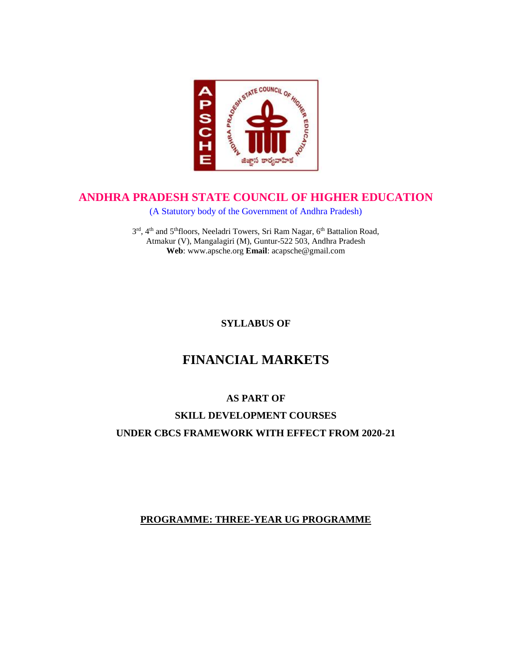

# **ANDHRA PRADESH STATE COUNCIL OF HIGHER EDUCATION**

(A Statutory body of the Government of Andhra Pradesh)

3rd, 4<sup>th</sup> and 5<sup>th</sup>floors, Neeladri Towers, Sri Ram Nagar, 6<sup>th</sup> Battalion Road, Atmakur (V), Mangalagiri (M), Guntur-522 503, Andhra Pradesh **Web**: www.apsche.org **Email**: acapsche@gmail.com

**SYLLABUS OF**

# **FINANCIAL MARKETS**

# **AS PART OF**

# **SKILL DEVELOPMENT COURSES UNDER CBCS FRAMEWORK WITH EFFECT FROM 2020-21**

# **PROGRAMME: THREE-YEAR UG PROGRAMME**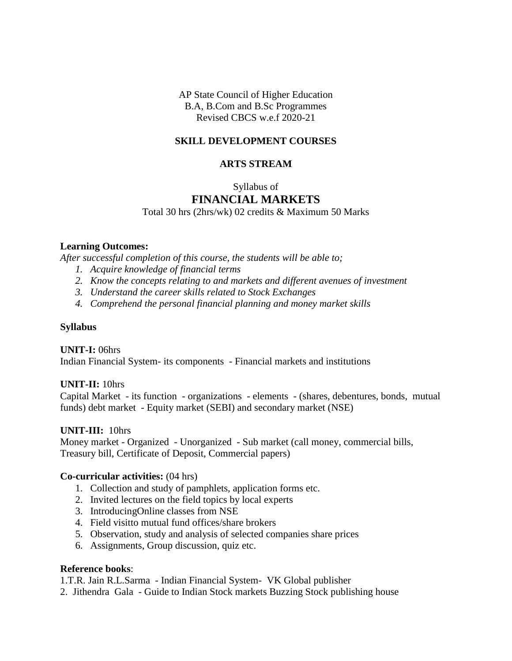AP State Council of Higher Education B.A, B.Com and B.Sc Programmes Revised CBCS w.e.f 2020-21

### **SKILL DEVELOPMENT COURSES**

#### **ARTS STREAM**

#### Syllabus of

## **FINANCIAL MARKETS**

Total 30 hrs (2hrs/wk) 02 credits & Maximum 50 Marks

#### **Learning Outcomes:**

*After successful completion of this course, the students will be able to;*

- *1. Acquire knowledge of financial terms*
- *2. Know the concepts relating to and markets and different avenues of investment*
- *3. Understand the career skills related to Stock Exchanges*
- *4. Comprehend the personal financial planning and money market skills*

#### **Syllabus**

**UNIT-I:** 06hrs Indian Financial System- its components - Financial markets and institutions

#### **UNIT-II:** 10hrs

Capital Market - its function - organizations - elements - (shares, debentures, bonds, mutual funds) debt market - Equity market (SEBI) and secondary market (NSE)

#### **UNIT-III:** 10hrs

Money market - Organized - Unorganized - Sub market (call money, commercial bills, Treasury bill, Certificate of Deposit, Commercial papers)

#### **Co-curricular activities:** (04 hrs)

- 1. Collection and study of pamphlets, application forms etc.
- 2. Invited lectures on the field topics by local experts
- 3. IntroducingOnline classes from NSE
- 4. Field visitto mutual fund offices/share brokers
- 5. Observation, study and analysis of selected companies share prices
- 6. Assignments, Group discussion, quiz etc.

### **Reference books**:

1.T.R. Jain R.L.Sarma - Indian Financial System- VK Global publisher

2. Jithendra Gala - Guide to Indian Stock markets Buzzing Stock publishing house